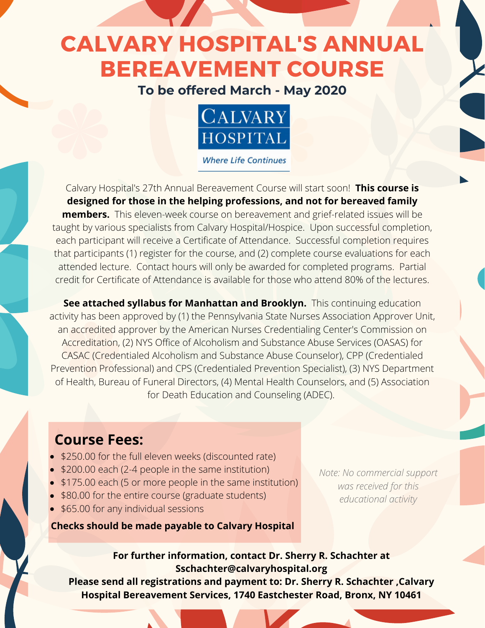## CALVARY HOSPITAL'S ANNUAL BEREAVEMENT COURSE

### **To be offered March - May 2020**



**Where Life Continues** 

Calvary Hospital's 27th Annual Bereavement Course will start soon! **This course is designed for those in the helping professions, and not for bereaved family members.** This eleven-week course on bereavement and grief-related issues will be taught by various specialists from Calvary Hospital/Hospice. Upon successful completion, each participant will receive a Certificate of Attendance. Successful completion requires that participants (1) register for the course, and (2) complete course evaluations for each attended lecture. Contact hours will only be awarded for completed programs. Partial credit for Certificate of Attendance is available for those who attend 80% of the lectures.

**See attached syllabus for Manhattan and Brooklyn.** This continuing education activity has been approved by (1) the Pennsylvania State Nurses Association Approver Unit, an accredited approver by the American Nurses Credentialing Center's Commission on Accreditation, (2) NYS Office of Alcoholism and Substance Abuse Services (OASAS) for CASAC (Credentialed Alcoholism and Substance Abuse Counselor), CPP (Credentialed Prevention Professional) and CPS (Credentialed Prevention Specialist), (3) NYS Department of Health, Bureau of Funeral Directors, (4) Mental Health Counselors, and (5) Association for Death Education and Counseling (ADEC).

### **Course Fees:**

- \$250.00 for the full eleven weeks (discounted rate)
- \$200.00 each (2-4 people in the same institution)
- \$175.00 each (5 or more people in the same institution)
- \$80.00 for the entire course (graduate students)
- \$65.00 for any individual sessions

**Checks should be made payable to Calvary Hospital**

*Note: No commercial support was received for this educational activity*

### **For further information, contact Dr. Sherry R. Schachter at Sschachter@calvaryhospital.org**

**Please send all registrations and payment to: Dr. Sherry R. Schachter ,Calvary Hospital Bereavement Services, 1740 Eastchester Road, Bronx, NY 10461**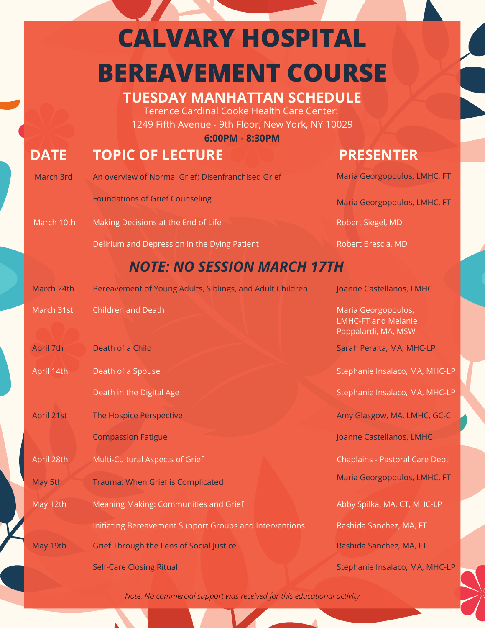## **CALVARY HOSPITAL BEREAVEMENT COURSE**

### **TUESDAY MANHATTAN SCHEDULE**

Terence Cardinal Cooke Health Care Center: 1249 Fifth Avenue - 9th Floor, New York, NY 10029

**6:00PM - 8:30PM**

## **DATE TOPIC OF LECTURE PRESENTER**

| March 3rd  | An overview of Normal Grief; Disenfranchised Grief        | Maria Georgopoulos, LMHC, FT                                             |
|------------|-----------------------------------------------------------|--------------------------------------------------------------------------|
|            | <b>Foundations of Grief Counseling</b>                    | Maria Georgopoulos, LMHC, FT                                             |
| March 10th | Making Decisions at the End of Life                       | Robert Siegel, MD                                                        |
|            | Delirium and Depression in the Dying Patient              | Robert Brescia, MD                                                       |
|            | <b>NOTE: NO SESSION MARCH 17TH</b>                        |                                                                          |
| March 24th | Bereavement of Young Adults, Siblings, and Adult Children | Joanne Castellanos, LMHC                                                 |
| March 31st | Children and Death                                        | Maria Georgopoulos,<br><b>LMHC-FT and Melanie</b><br>Pappalardi, MA, MSW |
| April 7th  | Death of a Child                                          | Sarah Peralta, MA, MHC-LP                                                |
| April 14th | Death of a Spouse                                         | Stephanie Insalaco, MA, MHC-LP                                           |
|            | Death in the Digital Age                                  | Stephanie Insalaco, MA, MHC-LP                                           |
| April 21st | The Hospice Perspective                                   | Amy Glasgow, MA, LMHC, GC-C                                              |
|            | <b>Compassion Fatigue</b>                                 | Joanne Castellanos, LMHC                                                 |
| April 28th | Multi-Cultural Aspects of Grief                           | <b>Chaplains - Pastoral Care Dept</b>                                    |
| May 5th    | Trauma: When Grief is Complicated                         | Maria Georgopoulos, LMHC, FT                                             |
| May 12th   | Meaning Making: Communities and Grief                     | Abby Spilka, MA, CT, MHC-LP                                              |
|            | Initiating Bereavement Support Groups and Interventions   | Rashida Sanchez, MA, FT                                                  |
| May 19th   | <b>Grief Through the Lens of Social Justice</b>           | Rashida Sanchez, MA, FT                                                  |
|            | <b>Self-Care Closing Ritual</b>                           | Stephanie Insalaco, MA, MHC-LP                                           |
|            |                                                           |                                                                          |

*Note: No commercial support was received for this educational activity*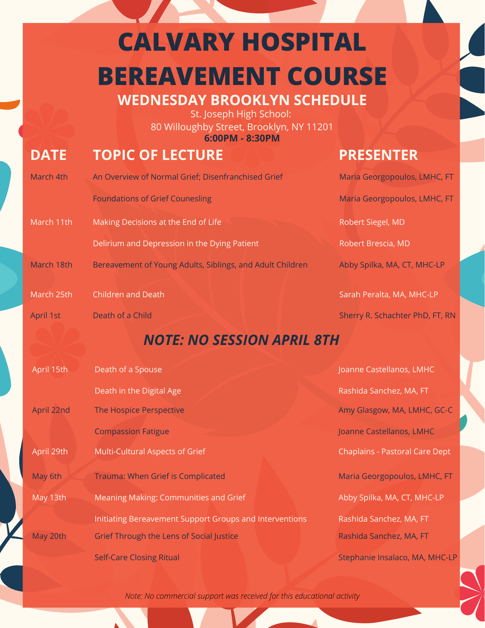# **CALVARY HOSPITAL BEREAVEMENT COURSE**

**WEDNESDAY BROOKLYN SCHEDULE**

St. Joseph High School: 80 Willoughby Street, Brooklyn, NY 11201 **6:00PM - 8:30PM**

## **DATE TOPIC OF LECTURE PRESENTER**

### March 4th An Overview of Normal Grief; Disenfranchised Grief Foundations of Grief Counesling Maria Georgopoulos, LMHC, FT Maria Georgopoulos, LMHC, FT March 11th Making Decisions at the End of Life Delirium and Depression in the Dying Patient Robert Siegel, MD Robert Brescia, MD March 18th Bereavement of Young Adults, Siblings, and Adult Children Abby Spilka, MA, CT, MHC-LP March 25th Children and Death Sarah Peralta, MA, MHC-LP April 1st Death of a Child Sherry R. Schachter PhD, FT, RN April 15th Death of a Spouse Death in the Digital Age Joanne Castellanos, LMHC Rashida Sanchez, MA, FT April 22nd The Hospice Perspective Compassion Fatigue Amy Glasgow, MA, LMHC, GC-C Joanne Castellanos, LMHC April 29th Multi-Cultural Aspects of Grief Chaplains - Pastoral Care Dept May 6th Trauma: When Grief is Complicated Maria Georgopoulos, LMHC, FT May 13th Meaning Making: Communities and Grief Initiating Bereavement Support Groups and Interventions Abby Spilka, MA, CT, MHC-LP Rashida Sanchez, MA, FT May 20th Grief Through the Lens of Social Justice Self-Care Closing Ritual Rashida Sanchez, MA, FT Stephanie Insalaco, MA, MHC-LP *NOTE: NO SESSION APRIL 8TH*

*Note: No commercial support was received for this educational activity*